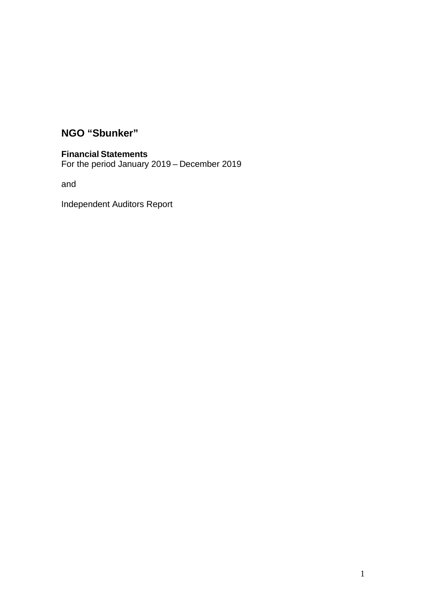# **NGO "Sbunker"**

# **Financial Statements**

For the period January 2019 – December 2019

and

Independent Auditors Report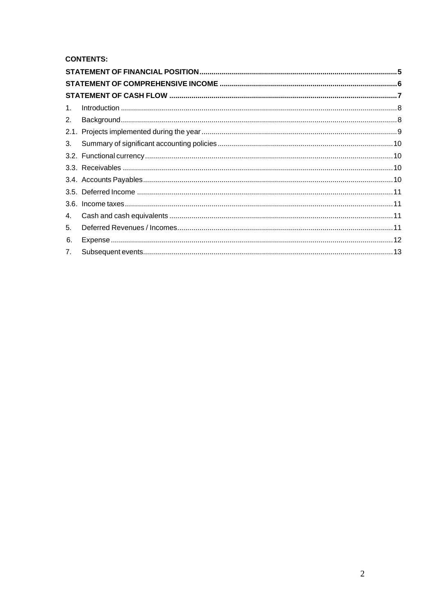## **CONTENTS:**

| 1. |  |  |
|----|--|--|
| 2. |  |  |
|    |  |  |
|    |  |  |
|    |  |  |
|    |  |  |
|    |  |  |
|    |  |  |
|    |  |  |
| 4. |  |  |
| 5. |  |  |
| 6. |  |  |
| 7. |  |  |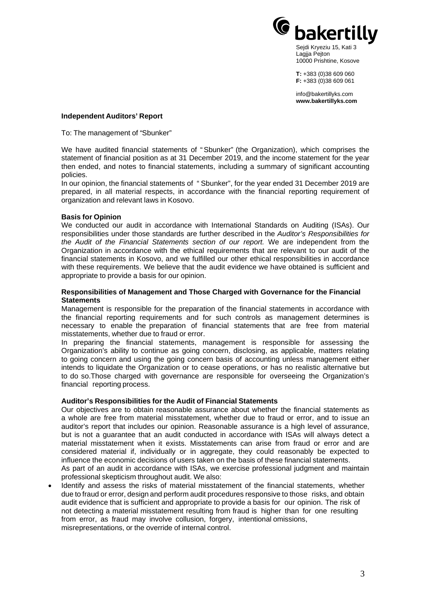

10000 Prishtine, Kosove **T:** +383 (0)38 609 060

**F:** +383 (0)38 609 061

info@bakertillyks.com **www.bakertillyks.com**

#### **Independent Auditors' Report**

To: The management of "Sbunker"

We have audited financial statements of "Sbunker" (the Organization), which comprises the statement of financial position as at 31 December 2019, and the income statement for the year then ended, and notes to financial statements, including a summary of significant accounting policies.

In our opinion, the financial statements of " Sbunker", for the year ended 31 December 2019 are prepared, in all material respects, in accordance with the financial reporting requirement of organization and relevant laws in Kosovo.

#### **Basis for Opinion**

We conducted our audit in accordance with International Standards on Auditing (ISAs). Our responsibilities under those standards are further described in the *Auditor's Responsibilities for the Audit of the Financial Statements section of our report.* We are independent from the Organization in accordance with the ethical requirements that are relevant to our audit of the financial statements in Kosovo, and we fulfilled our other ethical responsibilities in accordance with these requirements. We believe that the audit evidence we have obtained is sufficient and appropriate to provide a basis for our opinion.

#### **Responsibilities of Management and Those Charged with Governance for the Financial Statements**

Management is responsible for the preparation of the financial statements in accordance with the financial reporting requirements and for such controls as management determines is necessary to enable the preparation of financial statements that are free from material misstatements, whether due to fraud or error.

In preparing the financial statements, management is responsible for assessing the Organization's ability to continue as going concern, disclosing, as applicable, matters relating to going concern and using the going concern basis of accounting unless management either intends to liquidate the Organization or to cease operations, or has no realistic alternative but to do so.Those charged with governance are responsible for overseeing the Organization's financial reporting process.

#### **Auditor's Responsibilities for the Audit of Financial Statements**

Our objectives are to obtain reasonable assurance about whether the financial statements as a whole are free from material misstatement, whether due to fraud or error, and to issue an auditor's report that includes our opinion. Reasonable assurance is a high level of assurance, but is not a guarantee that an audit conducted in accordance with ISAs will always detect a material misstatement when it exists. Misstatements can arise from fraud or error and are considered material if, individually or in aggregate, they could reasonably be expected to influence the economic decisions of users taken on the basis of these financial statements. As part of an audit in accordance with ISAs, we exercise professional judgment and maintain professional skepticism throughout audit. We also:

• Identify and assess the risks of material misstatement of the financial statements, whether due to fraud or error, design and perform audit procedures responsive to those risks, and obtain audit evidence that is sufficient and appropriate to provide a basis for our opinion. The risk of not detecting a material misstatement resulting from fraud is higher than for one resulting from error, as fraud may involve collusion, forgery, intentional omissions, misrepresentations, or the override of internal control.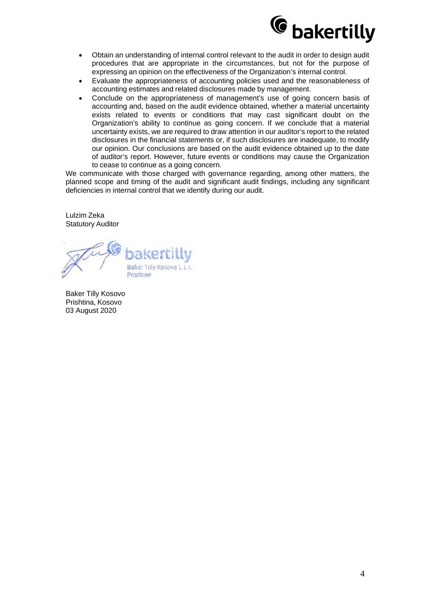

- Obtain an understanding of internal control relevant to the audit in order to design audit procedures that are appropriate in the circumstances, but not for the purpose of expressing an opinion on the effectiveness of the Organization's internal control.
- Evaluate the appropriateness of accounting policies used and the reasonableness of accounting estimates and related disclosures made by management.
- Conclude on the appropriateness of management's use of going concern basis of accounting and, based on the audit evidence obtained, whether a material uncertainty exists related to events or conditions that may cast significant doubt on the Organization's ability to continue as going concern. If we conclude that a material uncertainty exists, we are required to draw attention in our auditor's report to the related disclosures in the financial statements or, if such disclosures are inadequate, to modify our opinion. Our conclusions are based on the audit evidence obtained up to the date of auditor's report. However, future events or conditions may cause the Organization to cease to continue as a going concern.

We communicate with those charged with governance regarding, among other matters, the planned scope and timing of the audit and significant audit findings, including any significant deficiencies in internal control that we identify during our audit.

Lulzim Zeka Statutory Auditor

Baker Tilly Kosovo L L C Prishtinë

Baker Tilly Kosovo Prishtina, Kosovo 03 August 2020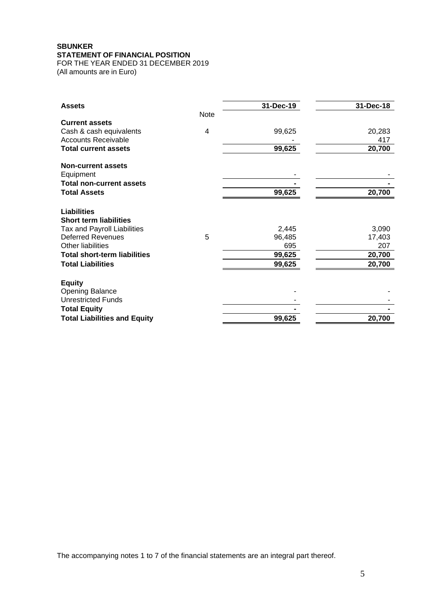#### **SBUNKER STATEMENT OF FINANCIAL POSITION**

<span id="page-4-0"></span>FOR THE YEAR ENDED 31 DECEMBER 2019 (All amounts are in Euro)

|                                     |      | 31-Dec-19 | 31-Dec-18 |
|-------------------------------------|------|-----------|-----------|
| <b>Assets</b>                       |      |           |           |
|                                     | Note |           |           |
| <b>Current assets</b>               |      |           |           |
| Cash & cash equivalents             | 4    | 99,625    | 20,283    |
| <b>Accounts Receivable</b>          |      |           | 417       |
| <b>Total current assets</b>         |      | 99,625    | 20,700    |
| <b>Non-current assets</b>           |      |           |           |
| Equipment                           |      |           |           |
| <b>Total non-current assets</b>     |      |           |           |
| <b>Total Assets</b>                 |      | 99,625    | 20,700    |
|                                     |      |           |           |
| Liabilities                         |      |           |           |
| <b>Short term liabilities</b>       |      |           |           |
| <b>Tax and Payroll Liabilities</b>  |      | 2,445     | 3,090     |
| <b>Deferred Revenues</b>            | 5    | 96,485    | 17,403    |
| <b>Other liabilities</b>            |      | 695       | 207       |
| <b>Total short-term liabilities</b> |      | 99,625    | 20,700    |
| <b>Total Liabilities</b>            |      | 99,625    | 20,700    |
| <b>Equity</b>                       |      |           |           |
|                                     |      |           |           |
| <b>Opening Balance</b>              |      |           |           |
| <b>Unrestricted Funds</b>           |      |           |           |
| <b>Total Equity</b>                 |      |           |           |
| <b>Total Liabilities and Equity</b> |      | 99,625    | 20,700    |

The accompanying notes 1 to 7 of the financial statements are an integral part thereof.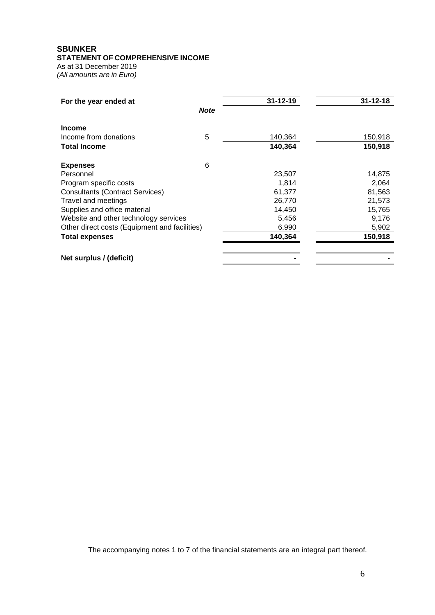## **SBUNKER STATEMENT OF COMPREHENSIVE INCOME**

<span id="page-5-0"></span>As at 31 December 2019 *(All amounts are in Euro)*

| For the year ended at                         |             | $31 - 12 - 19$ | $31 - 12 - 18$ |  |  |
|-----------------------------------------------|-------------|----------------|----------------|--|--|
|                                               | <b>Note</b> |                |                |  |  |
| <b>Income</b>                                 |             |                |                |  |  |
| Income from donations                         | 5           | 140,364        | 150,918        |  |  |
| <b>Total Income</b>                           |             | 140,364        | 150,918        |  |  |
| <b>Expenses</b>                               | 6           |                |                |  |  |
| Personnel                                     |             | 23,507         | 14,875         |  |  |
| Program specific costs                        |             | 1,814          | 2,064          |  |  |
| <b>Consultants (Contract Services)</b>        |             | 61,377         | 81,563         |  |  |
| Travel and meetings                           |             | 26,770         | 21,573         |  |  |
| Supplies and office material                  |             | 14,450         | 15,765         |  |  |
| Website and other technology services         |             | 5,456          | 9,176          |  |  |
| Other direct costs (Equipment and facilities) |             | 6,990          | 5,902          |  |  |
| <b>Total expenses</b>                         |             | 140,364        | 150,918        |  |  |
| Net surplus / (deficit)                       |             |                |                |  |  |

The accompanying notes 1 to 7 of the financial statements are an integral part thereof.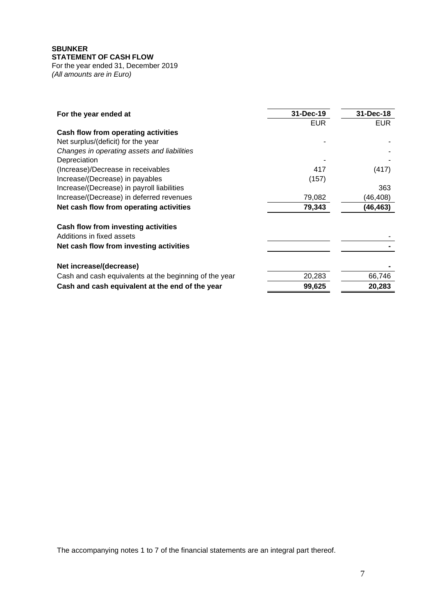#### **SBUNKER STATEMENT OF CASH FLOW**

<span id="page-6-0"></span>For the year ended 31, December 2019 *(All amounts are in Euro)*

| For the year ended at                                  | 31-Dec-19  | 31-Dec-18  |  |  |
|--------------------------------------------------------|------------|------------|--|--|
|                                                        | <b>EUR</b> | <b>EUR</b> |  |  |
| Cash flow from operating activities                    |            |            |  |  |
| Net surplus/(deficit) for the year                     |            |            |  |  |
| Changes in operating assets and liabilities            |            |            |  |  |
| Depreciation                                           |            |            |  |  |
| (Increase)/Decrease in receivables                     | 417        | (417)      |  |  |
| Increase/(Decrease) in payables                        | (157)      |            |  |  |
| Increase/(Decrease) in payroll liabilities             |            | 363        |  |  |
| Increase/(Decrease) in deferred revenues               | 79,082     | (46,408)   |  |  |
| Net cash flow from operating activities                | 79,343     | (46,463)   |  |  |
| Cash flow from investing activities                    |            |            |  |  |
| Additions in fixed assets                              |            |            |  |  |
| Net cash flow from investing activities                |            |            |  |  |
| Net increase/(decrease)                                |            |            |  |  |
| Cash and cash equivalents at the beginning of the year | 20,283     | 66,746     |  |  |
| Cash and cash equivalent at the end of the year        | 99,625     | 20,283     |  |  |

The accompanying notes 1 to 7 of the financial statements are an integral part thereof.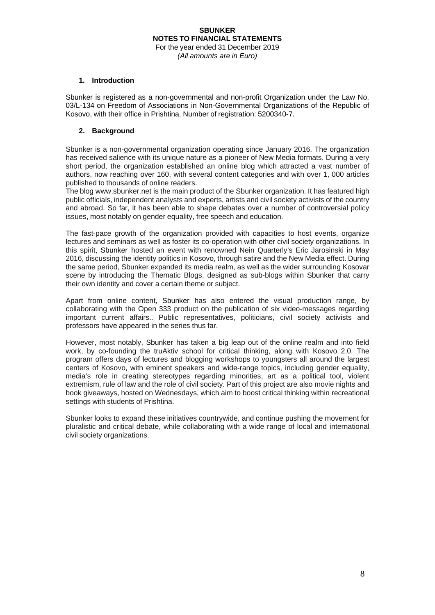## **SBUNKER NOTES TO FINANCIAL STATEMENTS** For the year ended 31 December 2019

*(All amounts are in Euro)*

#### **1. Introduction**

<span id="page-7-0"></span>Sbunker is registered as a non-governmental and non-profit Organization under the Law No. 03/L-134 on Freedom of Associations in Non-Governmental Organizations of the Republic of Kosovo, with their office in Prishtina. Number of registration: 5200340-7.

#### <span id="page-7-1"></span>**2. Background**

Sbunker is a non-governmental organization operating since January 2016. The organization has received salience with its unique nature as a pioneer of New Media formats. During a very short period, the organization established an online blog which attracted a vast number of authors, now reaching over 160, with several content categories and with over 1, 000 articles published to thousands of online readers.

The blog [www.sbunker.net](http://www.sbunker.net/) is the main product of the Sbunker organization. It has featured high public officials, independent analysts and experts, artists and civil society activists of the country and abroad. So far, it has been able to shape debates over a number of controversial policy issues, most notably on gender equality, free speech and education.

The fast-pace growth of the organization provided with capacities to host events, organize lectures and seminars as well as foster its co-operation with other civil society organizations. In this spirit, Sbunker hosted an event with renowned Nein Quarterly's Eric Jarosinski in May 2016, discussing the identity politics in Kosovo, through satire and the New Media effect. During the same period, Sbunker expanded its media realm, as well as the wider surrounding Kosovar scene by introducing the Thematic Blogs, designed as sub-blogs within Sbunker that carry their own identity and cover a certain theme or subject.

Apart from online content, Sbunker has also entered the visual production range, by collaborating with the Open 333 product on the publication of six video-messages regarding important current affairs.. Public representatives, politicians, civil society activists and professors have appeared in the series thus far.

However, most notably, Sbunker has taken a big leap out of the online realm and into field work, by co-founding the truAktiv school for critical thinking, along with Kosovo 2.0. The program offers days of lectures and blogging workshops to youngsters all around the largest centers of Kosovo, with eminent speakers and wide-range topics, including gender equality, media's role in creating stereotypes regarding minorities, art as a political tool, violent extremism, rule of law and the role of civil society. Part of this project are also movie nights and book giveaways, hosted on Wednesdays, which aim to boost critical thinking within recreational settings with students of Prishtina.

Sbunker looks to expand these initiatives countrywide, and continue pushing the movement for pluralistic and critical debate, while collaborating with a wide range of local and international civil society organizations.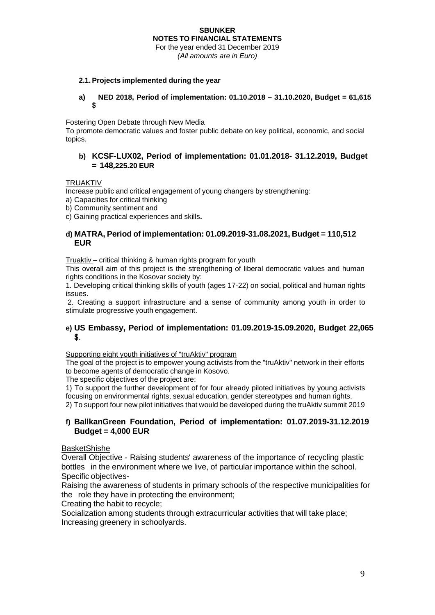For the year ended 31 December 2019

*(All amounts are in Euro)*

#### <span id="page-8-0"></span>**2.1. Projects implemented during the year**

**a) NED 2018, Period of implementation: 01.10.2018 – 31.10.2020, Budget = 61,615 \$**

#### Fostering Open Debate through New Media

To promote democratic values and foster public debate on key political, economic, and social topics.

## **b) KCSF-LUX02, Period of implementation: 01.01.2018- 31.12.2019, Budget = 148,225.20 EUR**

#### TRUAKTIV

Increase public and critical engagement of young changers by strengthening:

a) Capacities for critical thinking

- b) Community sentiment and
- c) Gaining practical experiences and skills**.**

### **d) MATRA, Period of implementation: 01.09.2019-31.08.2021, Budget = 110,512 EUR**

Truaktiv – critical thinking & human rights program for youth

This overall aim of this project is the strengthening of liberal democratic values and human rights conditions in the Kosovar society by:

1. Developing critical thinking skills of youth (ages 17-22) on social, political and human rights issues.

2. Creating a support infrastructure and a sense of community among youth in order to stimulate progressive youth engagement.

### **e) US Embassy, Period of implementation: 01.09.2019-15.09.2020, Budget 22,065 \$**.

Supporting eight youth initiatives of "truAktiv" program

The goal of the project is to empower young activists from the "truAktiv" network in their efforts to become agents of democratic change in Kosovo.

The specific objectives of the project are:

1) To support the further development of for four already piloted initiatives by young activists focusing on environmental rights, sexual education, gender stereotypes and human rights. 2) To support four new pilot initiatives that would be developed during the truAktiv summit 2019

### **f) BallkanGreen Foundation, Period of implementation: 01.07.2019-31.12.2019 Budget = 4,000 EUR**

### **BasketShishe**

Overall Objective - Raising students' awareness of the importance of recycling plastic bottles in the environment where we live, of particular importance within the school. Specific objectives-

Raising the awareness of students in primary schools of the respective municipalities for the role they have in protecting the environment;

Creating the habit to recycle;

Socialization among students through extracurricular activities that will take place; Increasing greenery in schoolyards.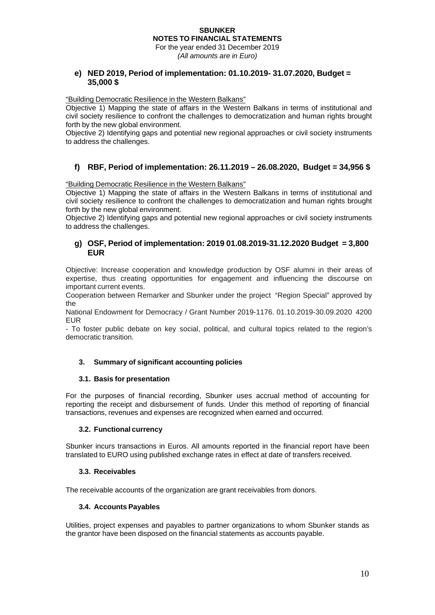For the year ended 31 December 2019

*(All amounts are in Euro)*

## **e) NED 2019, Period of implementation: 01.10.2019- 31.07.2020, Budget = 35,000 \$**

"Building Democratic Resilience in the Western Balkans"

Objective 1) Mapping the state of affairs in the Western Balkans in terms of institutional and civil society resilience to confront the challenges to democratization and human rights brought forth by the new global environment.

Objective 2) Identifying gaps and potential new regional approaches or civil society instruments to address the challenges.

## **f) RBF, Period of implementation: 26.11.2019 – 26.08.2020, Budget = 34,956 \$**

"Building Democratic Resilience in the Western Balkans"

Objective 1) Mapping the state of affairs in the Western Balkans in terms of institutional and civil society resilience to confront the challenges to democratization and human rights brought forth by the new global environment.

Objective 2) Identifying gaps and potential new regional approaches or civil society instruments to address the challenges.

### **g) OSF, Period of implementation: 2019 01.08.2019-31.12.2020 Budget = 3,800 EUR**

Objective: Increase cooperation and knowledge production by OSF alumni in their areas of expertise, thus creating opportunities for engagement and influencing the discourse on important current events.

Cooperation between Remarker and Sbunker under the project "Region Special" approved by the

National Endowment for Democracy / Grant Number 2019-1176. 01.10.2019-30.09.2020 4200 EUR

- To foster public debate on key social, political, and cultural topics related to the region's democratic transition.

### <span id="page-9-0"></span>**3. Summary of significant accounting policies**

### **3.1. Basis for presentation**

For the purposes of financial recording, Sbunker uses accrual method of accounting for reporting the receipt and disbursement of funds. Under this method of reporting of financial transactions, revenues and expenses are recognized when earned and occurred.

### **3.2. Functional currency**

<span id="page-9-1"></span>Sbunker incurs transactions in Euros. All amounts reported in the financial report have been translated to EURO using published exchange rates in effect at date of transfers received.

### <span id="page-9-2"></span>**3.3. Receivables**

<span id="page-9-3"></span>The receivable accounts of the organization are grant receivables from donors.

### **3.4. Accounts Payables**

Utilities, project expenses and payables to partner organizations to whom Sbunker stands as the grantor have been disposed on the financial statements as accounts payable.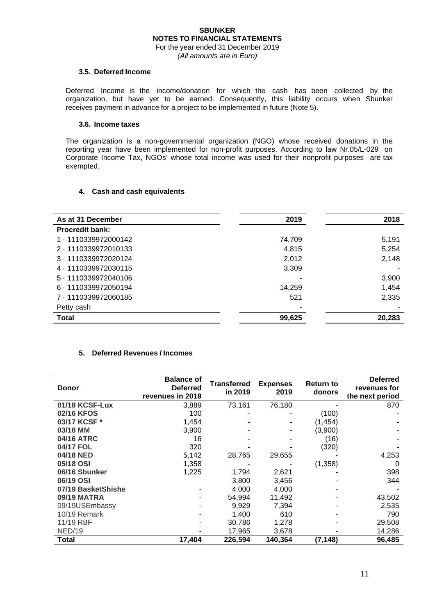For the year ended 31 December 2019 *(All amounts are in Euro)*

#### <span id="page-10-0"></span>**3.5. Deferred Income**

Deferred Income is the income/donation for which the cash has been collected by the organization, but have yet to be earned. Consequently, this liability occurs when Sbunker receives payment in advance for a project to be implemented in future (Note 5).

#### **3.6. Income taxes**

<span id="page-10-1"></span>The organization is a non-governmental organization (NGO) whose received donations in the reporting year have been implemented for non-profit purposes. According to law Nr.05/L-029 on Corporate Income Tax, NGOs' whose total income was used for their nonprofit purposes are tax exempted.

### <span id="page-10-2"></span>**4. Cash and cash equivalents**

| As at 31 December      | 2019   | 2018   |  |  |
|------------------------|--------|--------|--|--|
| <b>Procredit bank:</b> |        |        |  |  |
| 1 . 1110339972000142   | 74,709 | 5,191  |  |  |
| 2 . 1110339972010133   | 4,815  | 5,254  |  |  |
| 3 - 1110339972020124   | 2,012  | 2,148  |  |  |
| 4 · 1110339972030115   | 3,309  |        |  |  |
| 5 - 1110339972040106   |        | 3,900  |  |  |
| 6 - 1110339972050194   | 14,259 | 1,454  |  |  |
| 7 - 1110339972060185   | 521    | 2,335  |  |  |
| Petty cash             |        |        |  |  |
| <b>Total</b>           | 99,625 | 20,283 |  |  |

### <span id="page-10-3"></span>**5. Deferred Revenues / Incomes**

| <b>Donor</b>       | <b>Balance of</b><br><b>Deferred</b><br>revenues in 2019 | Transferred<br>in 2019 | <b>Expenses</b><br>2019 | <b>Return to</b><br>donors | <b>Deferred</b><br>revenues for<br>the next period |
|--------------------|----------------------------------------------------------|------------------------|-------------------------|----------------------------|----------------------------------------------------|
| 01/18 KCSF-Lux     | 3,889                                                    | 73,161                 | 76,180                  |                            | 870                                                |
| 02/16 KFOS         | 100                                                      |                        |                         | (100)                      |                                                    |
| 03/17 KCSF *       | 1,454                                                    |                        |                         | (1,454)                    |                                                    |
| 03/18 MM           | 3,900                                                    |                        |                         | (3,900)                    |                                                    |
| 04/16 ATRC         | 16                                                       |                        |                         | (16)                       |                                                    |
| 04/17 FOL          | 320                                                      |                        |                         | (320)                      |                                                    |
| 04/18 NED          | 5,142                                                    | 28,765                 | 29,655                  |                            | 4,253                                              |
| 05/18 OSI          | 1,358                                                    |                        |                         | (1,358)                    | O                                                  |
| 06/16 Sbunker      | 1,225                                                    | 1,794                  | 2,621                   |                            | 398                                                |
| 06/19 OSI          |                                                          | 3,800                  | 3,456                   |                            | 344                                                |
| 07/19 BasketShishe |                                                          | 4,000                  | 4,000                   |                            |                                                    |
| <b>09/19 MATRA</b> |                                                          | 54,994                 | 11,492                  |                            | 43,502                                             |
| 09/19USEmbassy     |                                                          | 9,929                  | 7,394                   |                            | 2,535                                              |
| 10/19 Remark       |                                                          | 1,400                  | 610                     |                            | 790                                                |
| 11/19 RBF          |                                                          | 30,786                 | 1,278                   |                            | 29,508                                             |
| <b>NED/19</b>      |                                                          | 17,965                 | 3,678                   |                            | 14,286                                             |
| Total              | 17,404                                                   | 226,594                | 140,364                 | (7, 148)                   | 96,485                                             |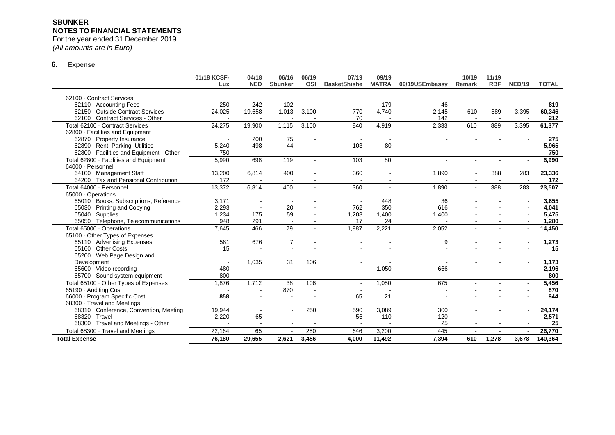For the year ended 31 December 2019 *(All amounts are in Euro)*

## **6. Expense**

<span id="page-11-0"></span>

|                                          | 01/18 KCSF-              | 04/18                    | 06/16          | 06/19          | 07/19               | 09/19        |                | 10/19                    | 11/19      |               |              |
|------------------------------------------|--------------------------|--------------------------|----------------|----------------|---------------------|--------------|----------------|--------------------------|------------|---------------|--------------|
|                                          | Lux                      | <b>NED</b>               | Sbunker        | <b>OSI</b>     | <b>BasketShishe</b> | <b>MATRA</b> | 09/19USEmbassy | Remark                   | <b>RBF</b> | <b>NED/19</b> | <b>TOTAL</b> |
| 62100 · Contract Services                |                          |                          |                |                |                     |              |                |                          |            |               |              |
| 62110 · Accounting Fees                  | 250                      | 242                      | 102            |                |                     | 179          | 46             |                          |            |               | 819          |
| 62150 · Outside Contract Services        |                          | 19,658                   | 1,013          | 3,100          | 770                 | 4,740        |                | 610                      | 889        |               | 60,346       |
| 62100 · Contract Services - Other        | 24,025                   |                          |                |                | 70                  |              | 2,145<br>142   | $\sim$                   |            | 3,395         | 212          |
| Total 62100 · Contract Services          | 24,275                   | 19,900                   | 1,115          | 3,100          | 840                 | 4,919        | 2,333          | 610                      | 889        | 3,395         | 61,377       |
|                                          |                          |                          |                |                |                     |              |                |                          |            |               |              |
| 62800 · Facilities and Equipment         |                          |                          |                |                |                     |              |                |                          |            |               |              |
| 62870 · Property Insurance               | $\overline{\phantom{a}}$ | 200<br>498               | 75<br>44       |                | $\sim$              | 80           |                |                          |            |               | 275          |
| 62890 · Rent, Parking, Utilities         | 5,240                    |                          |                |                | 103                 |              |                |                          |            |               | 5,965        |
| 62800 · Facilities and Equipment - Other | 750                      |                          |                | $\sim$         |                     |              |                |                          |            |               | 750          |
| Total 62800 · Facilities and Equipment   | 5,990                    | 698                      | 119            |                | 103                 | 80           |                |                          |            |               | 6,990        |
| 64000 · Personnel                        |                          |                          |                |                |                     |              |                |                          |            |               |              |
| 64100 · Management Staff                 | 13,200                   | 6,814                    | 400            |                | 360                 |              | 1,890          |                          | 388        | 283           | 23,336       |
| 64200 · Tax and Pensional Contribution   | 172                      |                          |                |                |                     |              |                |                          |            |               | 172          |
| Total 64000 · Personnel                  | 13,372                   | 6,814                    | 400            | $\overline{a}$ | 360                 |              | 1,890          | $\overline{\phantom{a}}$ | 388        | 283           | 23,507       |
| 65000 · Operations                       |                          |                          |                |                |                     |              |                |                          |            |               |              |
| 65010 · Books, Subscriptions, Reference  | 3,171                    |                          |                |                |                     | 448          | 36             |                          |            |               | 3,655        |
| 65030 · Printing and Copying             | 2,293                    | $\overline{\phantom{a}}$ | 20             |                | 762                 | 350          | 616            |                          |            |               | 4,041        |
| 65040 · Supplies                         | 1,234                    | 175                      | 59             |                | 1,208               | 1,400        | 1,400          |                          |            |               | 5,475        |
| 65050 · Telephone, Telecommunications    | 948                      | 291                      |                |                | 17                  | 24           |                |                          |            |               | 1,280        |
| Total 65000 · Operations                 | 7,645                    | 466                      | 79             |                | 1,987               | 2,221        | 2,052          |                          |            |               | 14,450       |
| 65100 · Other Types of Expenses          |                          |                          |                |                |                     |              |                |                          |            |               |              |
| 65110 · Advertising Expenses             | 581                      | 676                      | $\overline{7}$ |                |                     |              | 9              |                          |            |               | 1,273        |
| 65160 · Other Costs                      | 15                       |                          |                |                |                     |              |                |                          |            |               | 15           |
| 65200 · Web Page Design and              |                          |                          |                |                |                     |              |                |                          |            |               |              |
| Development                              |                          | 1.035                    | 31             | 106            |                     |              |                |                          |            |               | 1,173        |
| 65600 · Video recording                  | 480                      |                          |                |                |                     | 1,050        | 666            |                          |            |               | 2,196        |
| 65700 · Sound system equipment           | 800                      |                          | $\sim$         |                | $\sim$              |              |                |                          |            |               | 800          |
| Total 65100 Other Types of Expenses      | 1,876                    | 1.712                    | 38             | 106            | $\sim$              | 1,050        | 675            |                          |            |               | 5,456        |
| 65190 · Auditing Cost                    |                          |                          | 870            |                |                     |              |                |                          |            |               | 870          |
| 66000 · Program Specific Cost            | 858                      |                          |                |                | 65                  | 21           |                |                          |            |               | 944          |
| 68300 · Travel and Meetings              |                          |                          |                |                |                     |              |                |                          |            |               |              |
| 68310 · Conference, Convention, Meeting  | 19,944                   |                          |                | 250            | 590                 | 3,089        | 300            |                          |            |               | 24,174       |
| 68320 · Travel                           | 2,220                    | 65                       |                |                | 56                  | 110          | 120            |                          |            |               | 2,571        |
| 68300 · Travel and Meetings - Other      |                          |                          |                |                |                     |              | 25             |                          |            |               | 25           |
| Total 68300 · Travel and Meetings        | 22,164                   | 65                       |                | 250            | 646                 | 3,200        | 445            |                          |            |               | 26,770       |
| <b>Total Expense</b>                     | 76,180                   | 29,655                   | 2,621          | 3,456          | 4,000               | 11,492       | 7,394          | 610                      | 1,278      | 3,678         | 140,364      |